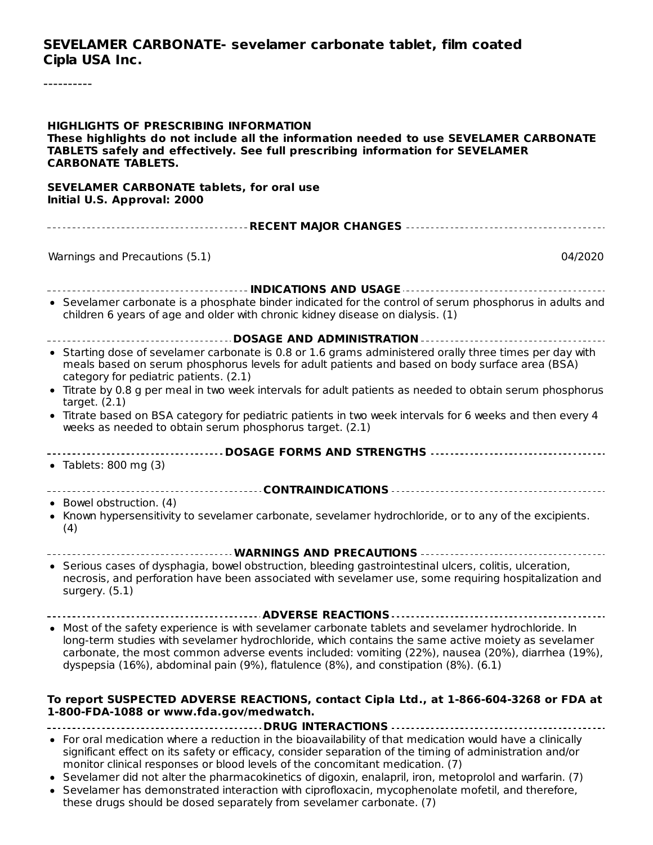#### **SEVELAMER CARBONATE- sevelamer carbonate tablet, film coated Cipla USA Inc.**

----------

| <b>HIGHLIGHTS OF PRESCRIBING INFORMATION</b><br>These highlights do not include all the information needed to use SEVELAMER CARBONATE<br>TABLETS safely and effectively. See full prescribing information for SEVELAMER<br><b>CARBONATE TABLETS.</b>                                                                                                                                                  |  |  |  |  |
|-------------------------------------------------------------------------------------------------------------------------------------------------------------------------------------------------------------------------------------------------------------------------------------------------------------------------------------------------------------------------------------------------------|--|--|--|--|
| <b>SEVELAMER CARBONATE tablets, for oral use</b><br>Initial U.S. Approval: 2000                                                                                                                                                                                                                                                                                                                       |  |  |  |  |
|                                                                                                                                                                                                                                                                                                                                                                                                       |  |  |  |  |
| Warnings and Precautions (5.1)<br>04/2020                                                                                                                                                                                                                                                                                                                                                             |  |  |  |  |
|                                                                                                                                                                                                                                                                                                                                                                                                       |  |  |  |  |
| • Sevelamer carbonate is a phosphate binder indicated for the control of serum phosphorus in adults and<br>children 6 years of age and older with chronic kidney disease on dialysis. (1)                                                                                                                                                                                                             |  |  |  |  |
| ------------------------------------- DOSAGE AND ADMINISTRATION ----------------------------------                                                                                                                                                                                                                                                                                                    |  |  |  |  |
| • Starting dose of sevelamer carbonate is 0.8 or 1.6 grams administered orally three times per day with<br>meals based on serum phosphorus levels for adult patients and based on body surface area (BSA)<br>category for pediatric patients. (2.1)                                                                                                                                                   |  |  |  |  |
| • Titrate by 0.8 g per meal in two week intervals for adult patients as needed to obtain serum phosphorus<br>target. $(2.1)$                                                                                                                                                                                                                                                                          |  |  |  |  |
| • Titrate based on BSA category for pediatric patients in two week intervals for 6 weeks and then every 4<br>weeks as needed to obtain serum phosphorus target. (2.1)                                                                                                                                                                                                                                 |  |  |  |  |
|                                                                                                                                                                                                                                                                                                                                                                                                       |  |  |  |  |
| • Tablets: 800 mg $(3)$                                                                                                                                                                                                                                                                                                                                                                               |  |  |  |  |
|                                                                                                                                                                                                                                                                                                                                                                                                       |  |  |  |  |
| • Bowel obstruction. (4)                                                                                                                                                                                                                                                                                                                                                                              |  |  |  |  |
| • Known hypersensitivity to sevelamer carbonate, sevelamer hydrochloride, or to any of the excipients.<br>(4)                                                                                                                                                                                                                                                                                         |  |  |  |  |
|                                                                                                                                                                                                                                                                                                                                                                                                       |  |  |  |  |
| • Serious cases of dysphagia, bowel obstruction, bleeding gastrointestinal ulcers, colitis, ulceration,<br>necrosis, and perforation have been associated with sevelamer use, some requiring hospitalization and<br>surgery. (5.1)                                                                                                                                                                    |  |  |  |  |
|                                                                                                                                                                                                                                                                                                                                                                                                       |  |  |  |  |
| • Most of the safety experience is with sevelamer carbonate tablets and sevelamer hydrochloride. In<br>long-term studies with sevelamer hydrochloride, which contains the same active moiety as sevelamer<br>carbonate, the most common adverse events included: vomiting (22%), nausea (20%), diarrhea (19%),<br>dyspepsia (16%), abdominal pain (9%), flatulence (8%), and constipation (8%). (6.1) |  |  |  |  |
| To report SUSPECTED ADVERSE REACTIONS, contact Cipla Ltd., at 1-866-604-3268 or FDA at<br>1-800-FDA-1088 or www.fda.gov/medwatch.                                                                                                                                                                                                                                                                     |  |  |  |  |
|                                                                                                                                                                                                                                                                                                                                                                                                       |  |  |  |  |
| • For oral medication where a reduction in the bioavailability of that medication would have a clinically<br>significant effect on its safety or efficacy, consider separation of the timing of administration and/or<br>monitor clinical responses or blood levels of the concomitant medication. (7)                                                                                                |  |  |  |  |

- Sevelamer did not alter the pharmacokinetics of digoxin, enalapril, iron, metoprolol and warfarin. (7)
- Sevelamer has demonstrated interaction with ciprofloxacin, mycophenolate mofetil, and therefore, these drugs should be dosed separately from sevelamer carbonate. (7)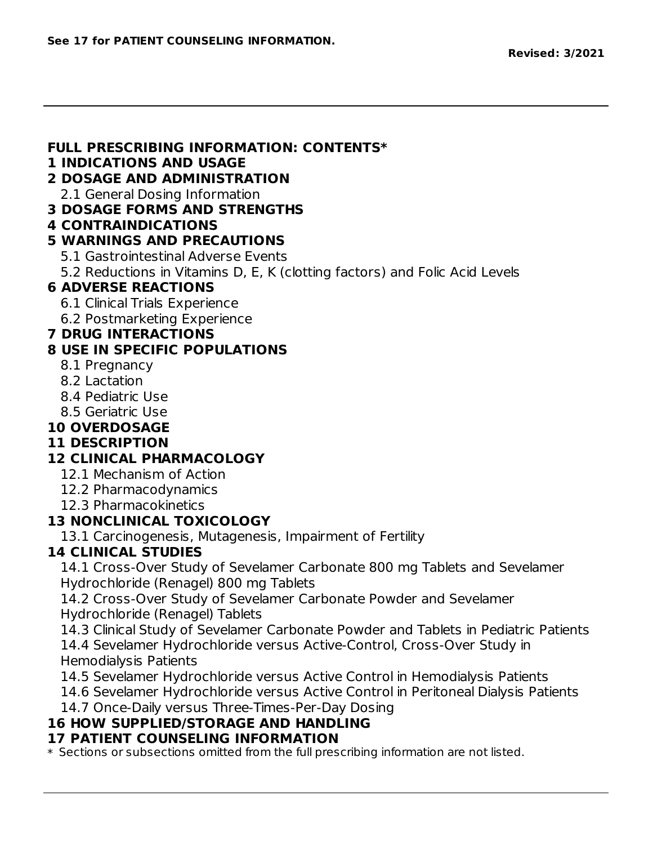#### **FULL PRESCRIBING INFORMATION: CONTENTS\***

#### **1 INDICATIONS AND USAGE**

### **2 DOSAGE AND ADMINISTRATION**

2.1 General Dosing Information

#### **3 DOSAGE FORMS AND STRENGTHS**

**4 CONTRAINDICATIONS**

### **5 WARNINGS AND PRECAUTIONS**

- 5.1 Gastrointestinal Adverse Events
- 5.2 Reductions in Vitamins D, E, K (clotting factors) and Folic Acid Levels

## **6 ADVERSE REACTIONS**

- 6.1 Clinical Trials Experience
- 6.2 Postmarketing Experience

### **7 DRUG INTERACTIONS**

## **8 USE IN SPECIFIC POPULATIONS**

- 8.1 Pregnancy
- 8.2 Lactation
- 8.4 Pediatric Use
- 8.5 Geriatric Use

#### **10 OVERDOSAGE**

#### **11 DESCRIPTION**

## **12 CLINICAL PHARMACOLOGY**

- 12.1 Mechanism of Action
- 12.2 Pharmacodynamics
- 12.3 Pharmacokinetics

## **13 NONCLINICAL TOXICOLOGY**

13.1 Carcinogenesis, Mutagenesis, Impairment of Fertility

#### **14 CLINICAL STUDIES**

14.1 Cross-Over Study of Sevelamer Carbonate 800 mg Tablets and Sevelamer Hydrochloride (Renagel) 800 mg Tablets

14.2 Cross-Over Study of Sevelamer Carbonate Powder and Sevelamer Hydrochloride (Renagel) Tablets

14.3 Clinical Study of Sevelamer Carbonate Powder and Tablets in Pediatric Patients

14.4 Sevelamer Hydrochloride versus Active-Control, Cross-Over Study in Hemodialysis Patients

14.5 Sevelamer Hydrochloride versus Active Control in Hemodialysis Patients

14.6 Sevelamer Hydrochloride versus Active Control in Peritoneal Dialysis Patients

14.7 Once-Daily versus Three-Times-Per-Day Dosing

## **16 HOW SUPPLIED/STORAGE AND HANDLING**

#### **17 PATIENT COUNSELING INFORMATION**

\* Sections or subsections omitted from the full prescribing information are not listed.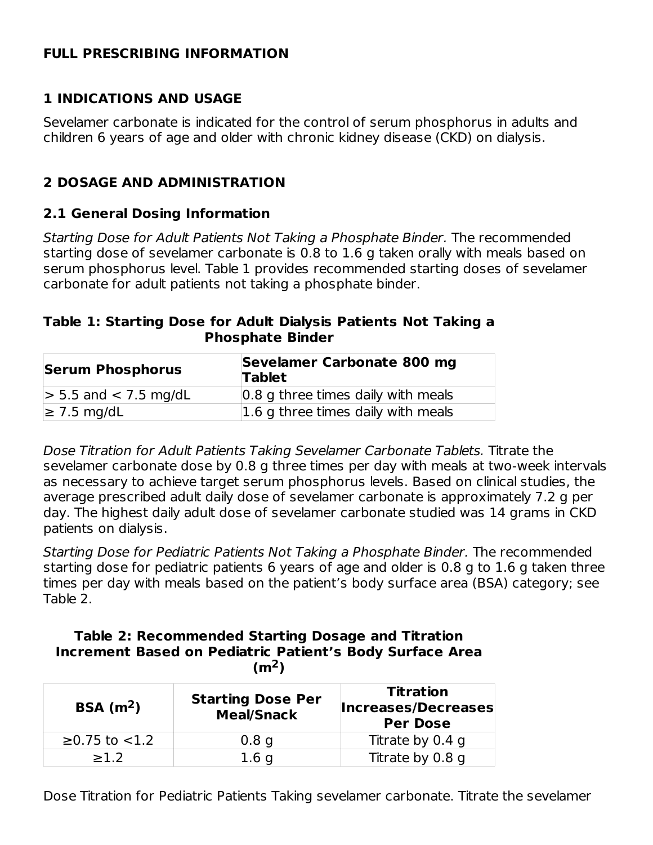#### **FULL PRESCRIBING INFORMATION**

### **1 INDICATIONS AND USAGE**

Sevelamer carbonate is indicated for the control of serum phosphorus in adults and children 6 years of age and older with chronic kidney disease (CKD) on dialysis.

## **2 DOSAGE AND ADMINISTRATION**

#### **2.1 General Dosing Information**

Starting Dose for Adult Patients Not Taking a Phosphate Binder. The recommended starting dose of sevelamer carbonate is 0.8 to 1.6 g taken orally with meals based on serum phosphorus level. Table 1 provides recommended starting doses of sevelamer carbonate for adult patients not taking a phosphate binder.

#### **Table 1: Starting Dose for Adult Dialysis Patients Not Taking a Phosphate Binder**

| <b>Serum Phosphorus</b>   | Sevelamer Carbonate 800 mg<br><b>Tablet</b> |  |  |
|---------------------------|---------------------------------------------|--|--|
| $> 5.5$ and $< 7.5$ mg/dL | 0.8 g three times daily with meals          |  |  |
| $\geq$ 7.5 mg/dL          | $\vert 1.6$ g three times daily with meals  |  |  |

Dose Titration for Adult Patients Taking Sevelamer Carbonate Tablets. Titrate the sevelamer carbonate dose by 0.8 g three times per day with meals at two-week intervals as necessary to achieve target serum phosphorus levels. Based on clinical studies, the average prescribed adult daily dose of sevelamer carbonate is approximately 7.2 g per day. The highest daily adult dose of sevelamer carbonate studied was 14 grams in CKD patients on dialysis.

Starting Dose for Pediatric Patients Not Taking a Phosphate Binder. The recommended starting dose for pediatric patients 6 years of age and older is 0.8 g to 1.6 g taken three times per day with meals based on the patient's body surface area (BSA) category; see Table 2.

#### **Table 2: Recommended Starting Dosage and Titration Increment Based on Pediatric Patient's Body Surface Area**  $(m<sup>2</sup>)$

| BSA(m <sup>2</sup> ) | <b>Starting Dose Per</b><br><b>Meal/Snack</b> | <b>Titration</b><br>Increases/Decreases<br><b>Per Dose</b> |
|----------------------|-----------------------------------------------|------------------------------------------------------------|
| $≥0.75$ to $<1.2$    | 0.8 <sub>q</sub>                              | Titrate by 0.4 g                                           |
| >1.2                 | 1.6 <sub>q</sub>                              | Titrate by 0.8 g                                           |

Dose Titration for Pediatric Patients Taking sevelamer carbonate. Titrate the sevelamer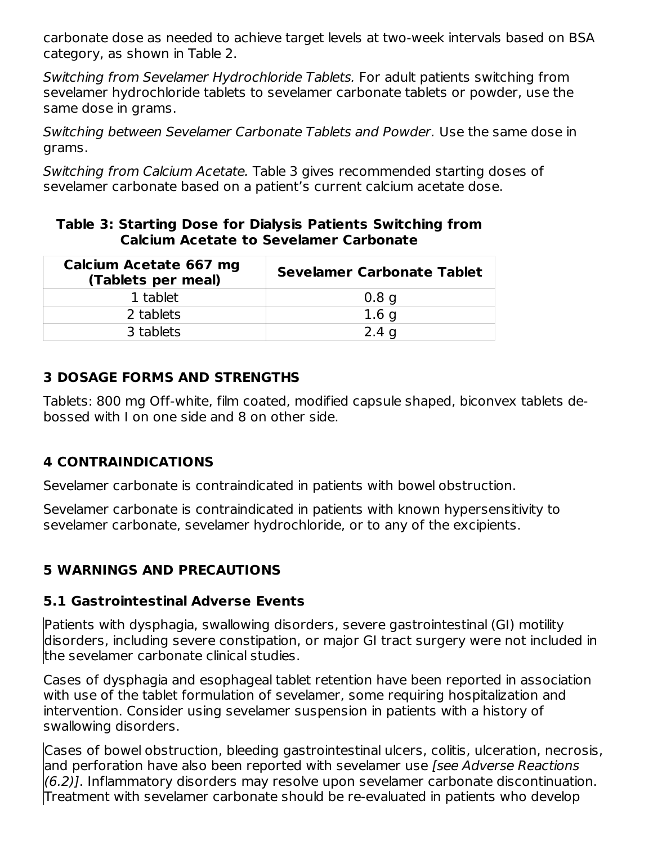carbonate dose as needed to achieve target levels at two-week intervals based on BSA category, as shown in Table 2.

Switching from Sevelamer Hydrochloride Tablets. For adult patients switching from sevelamer hydrochloride tablets to sevelamer carbonate tablets or powder, use the same dose in grams.

Switching between Sevelamer Carbonate Tablets and Powder. Use the same dose in grams.

Switching from Calcium Acetate. Table 3 gives recommended starting doses of sevelamer carbonate based on a patient's current calcium acetate dose.

#### **Table 3: Starting Dose for Dialysis Patients Switching from Calcium Acetate to Sevelamer Carbonate**

| Calcium Acetate 667 mg<br>(Tablets per meal) | <b>Sevelamer Carbonate Tablet</b> |
|----------------------------------------------|-----------------------------------|
| 1 tablet                                     | 0.8 <sub>q</sub>                  |
| 2 tablets                                    | 1.6 <sub>q</sub>                  |
| 3 tablets                                    | 2.4 <sub>q</sub>                  |

### **3 DOSAGE FORMS AND STRENGTHS**

Tablets: 800 mg Off-white, film coated, modified capsule shaped, biconvex tablets debossed with I on one side and 8 on other side.

## **4 CONTRAINDICATIONS**

Sevelamer carbonate is contraindicated in patients with bowel obstruction.

Sevelamer carbonate is contraindicated in patients with known hypersensitivity to sevelamer carbonate, sevelamer hydrochloride, or to any of the excipients.

## **5 WARNINGS AND PRECAUTIONS**

#### **5.1 Gastrointestinal Adverse Events**

Patients with dysphagia, swallowing disorders, severe gastrointestinal (GI) motility disorders, including severe constipation, or major GI tract surgery were not included in the sevelamer carbonate clinical studies.

Cases of dysphagia and esophageal tablet retention have been reported in association with use of the tablet formulation of sevelamer, some requiring hospitalization and intervention. Consider using sevelamer suspension in patients with a history of swallowing disorders.

Cases of bowel obstruction, bleeding gastrointestinal ulcers, colitis, ulceration, necrosis, and perforation have also been reported with sevelamer use *[see Adverse Reactions* (6.2)]. Inflammatory disorders may resolve upon sevelamer carbonate discontinuation. Treatment with sevelamer carbonate should be re-evaluated in patients who develop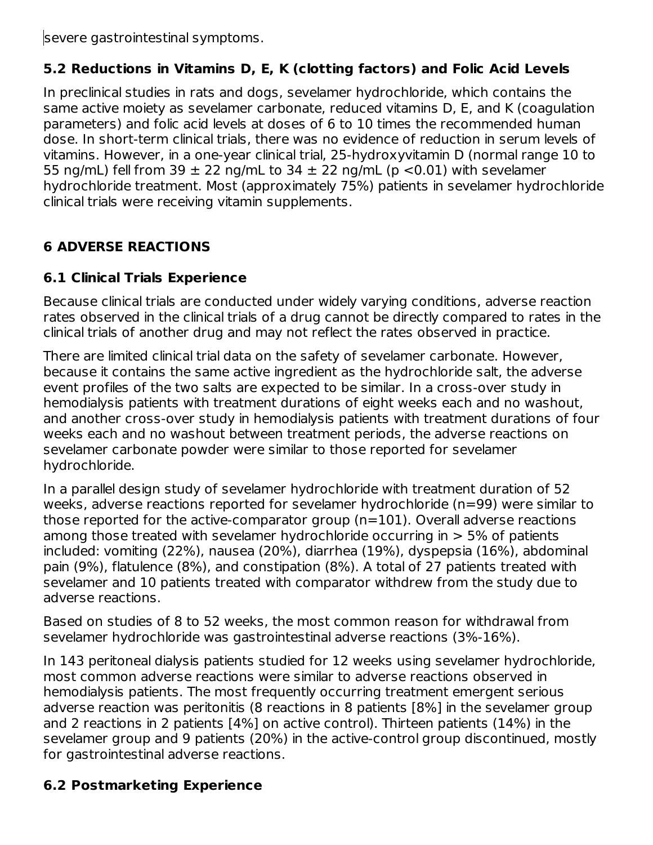severe gastrointestinal symptoms.

## **5.2 Reductions in Vitamins D, E, K (clotting factors) and Folic Acid Levels**

In preclinical studies in rats and dogs, sevelamer hydrochloride, which contains the same active moiety as sevelamer carbonate, reduced vitamins D, E, and K (coagulation parameters) and folic acid levels at doses of 6 to 10 times the recommended human dose. In short-term clinical trials, there was no evidence of reduction in serum levels of vitamins. However, in a one-year clinical trial, 25-hydroxyvitamin D (normal range 10 to 55 ng/mL) fell from 39  $\pm$  22 ng/mL to 34  $\pm$  22 ng/mL (p <0.01) with sevelamer hydrochloride treatment. Most (approximately 75%) patients in sevelamer hydrochloride clinical trials were receiving vitamin supplements.

## **6 ADVERSE REACTIONS**

## **6.1 Clinical Trials Experience**

Because clinical trials are conducted under widely varying conditions, adverse reaction rates observed in the clinical trials of a drug cannot be directly compared to rates in the clinical trials of another drug and may not reflect the rates observed in practice.

There are limited clinical trial data on the safety of sevelamer carbonate. However, because it contains the same active ingredient as the hydrochloride salt, the adverse event profiles of the two salts are expected to be similar. In a cross-over study in hemodialysis patients with treatment durations of eight weeks each and no washout, and another cross-over study in hemodialysis patients with treatment durations of four weeks each and no washout between treatment periods, the adverse reactions on sevelamer carbonate powder were similar to those reported for sevelamer hydrochloride.

In a parallel design study of sevelamer hydrochloride with treatment duration of 52 weeks, adverse reactions reported for sevelamer hydrochloride (n=99) were similar to those reported for the active-comparator group (n=101). Overall adverse reactions among those treated with sevelamer hydrochloride occurring in  $> 5\%$  of patients included: vomiting (22%), nausea (20%), diarrhea (19%), dyspepsia (16%), abdominal pain (9%), flatulence (8%), and constipation (8%). A total of 27 patients treated with sevelamer and 10 patients treated with comparator withdrew from the study due to adverse reactions.

Based on studies of 8 to 52 weeks, the most common reason for withdrawal from sevelamer hydrochloride was gastrointestinal adverse reactions (3%-16%).

In 143 peritoneal dialysis patients studied for 12 weeks using sevelamer hydrochloride, most common adverse reactions were similar to adverse reactions observed in hemodialysis patients. The most frequently occurring treatment emergent serious adverse reaction was peritonitis (8 reactions in 8 patients [8%] in the sevelamer group and 2 reactions in 2 patients [4%] on active control). Thirteen patients (14%) in the sevelamer group and 9 patients (20%) in the active-control group discontinued, mostly for gastrointestinal adverse reactions.

## **6.2 Postmarketing Experience**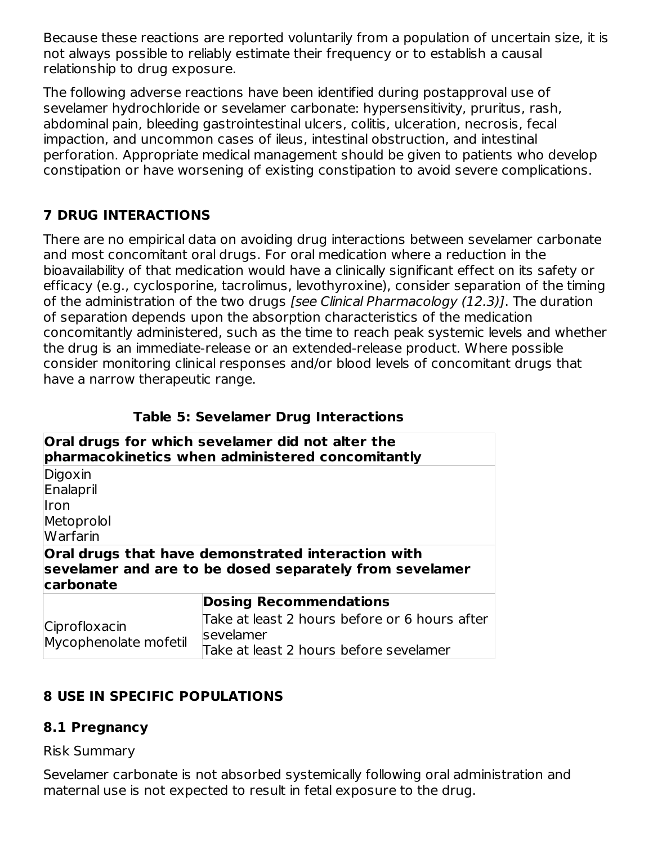Because these reactions are reported voluntarily from a population of uncertain size, it is not always possible to reliably estimate their frequency or to establish a causal relationship to drug exposure.

The following adverse reactions have been identified during postapproval use of sevelamer hydrochloride or sevelamer carbonate: hypersensitivity, pruritus, rash, abdominal pain, bleeding gastrointestinal ulcers, colitis, ulceration, necrosis, fecal impaction, and uncommon cases of ileus, intestinal obstruction, and intestinal perforation. Appropriate medical management should be given to patients who develop constipation or have worsening of existing constipation to avoid severe complications.

# **7 DRUG INTERACTIONS**

There are no empirical data on avoiding drug interactions between sevelamer carbonate and most concomitant oral drugs. For oral medication where a reduction in the bioavailability of that medication would have a clinically significant effect on its safety or efficacy (e.g., cyclosporine, tacrolimus, levothyroxine), consider separation of the timing of the administration of the two drugs [see Clinical Pharmacology (12.3)]. The duration of separation depends upon the absorption characteristics of the medication concomitantly administered, such as the time to reach peak systemic levels and whether the drug is an immediate-release or an extended-release product. Where possible consider monitoring clinical responses and/or blood levels of concomitant drugs that have a narrow therapeutic range.

|                                        | TUDIC JI JEVERINET DI UY INIEI UEENIJ                                                                             |
|----------------------------------------|-------------------------------------------------------------------------------------------------------------------|
|                                        | Oral drugs for which sevelamer did not alter the<br>pharmacokinetics when administered concomitantly              |
| Digoxin                                |                                                                                                                   |
| Enalapril                              |                                                                                                                   |
| <b>Iron</b>                            |                                                                                                                   |
| Metoprolol                             |                                                                                                                   |
| Warfarin                               |                                                                                                                   |
| carbonate                              | Oral drugs that have demonstrated interaction with<br>sevelamer and are to be dosed separately from sevelamer     |
|                                        | <b>Dosing Recommendations</b>                                                                                     |
| Ciprofloxacin<br>Mycophenolate mofetil | Take at least 2 hours before or 6 hours after<br><b>sevelamer</b><br>∓al a stilasat ∩ika i as kafa as sa islanasa |
|                                        |                                                                                                                   |

**Table 5: Sevelamer Drug Interactions**

## **8 USE IN SPECIFIC POPULATIONS**

#### **8.1 Pregnancy**

#### Risk Summary

Sevelamer carbonate is not absorbed systemically following oral administration and maternal use is not expected to result in fetal exposure to the drug.

Take at least 2 hours before sevelamer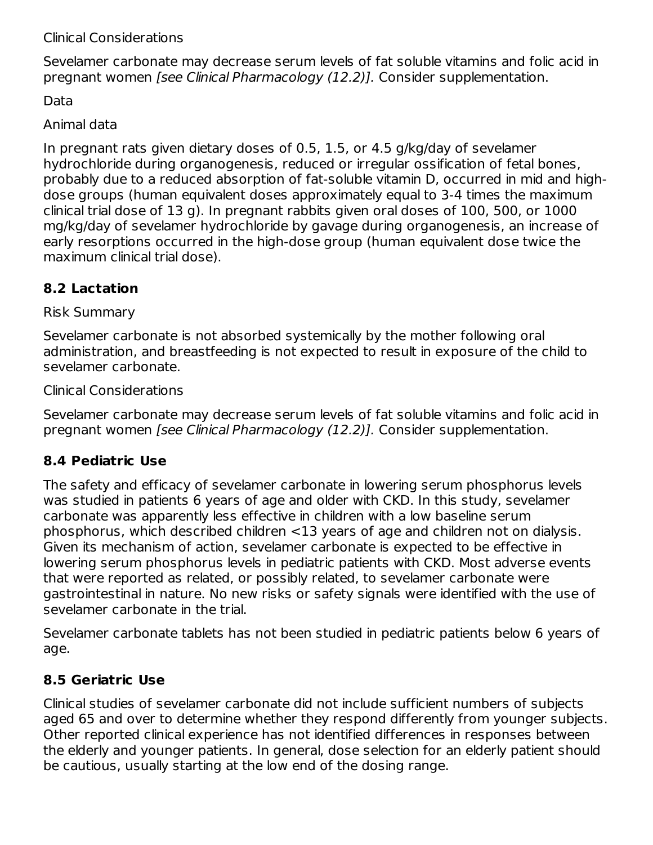#### Clinical Considerations

Sevelamer carbonate may decrease serum levels of fat soluble vitamins and folic acid in pregnant women [see Clinical Pharmacology (12.2)]. Consider supplementation.

Data

#### Animal data

In pregnant rats given dietary doses of 0.5, 1.5, or 4.5 g/kg/day of sevelamer hydrochloride during organogenesis, reduced or irregular ossification of fetal bones, probably due to a reduced absorption of fat-soluble vitamin D, occurred in mid and highdose groups (human equivalent doses approximately equal to 3-4 times the maximum clinical trial dose of 13 g). In pregnant rabbits given oral doses of 100, 500, or 1000 mg/kg/day of sevelamer hydrochloride by gavage during organogenesis, an increase of early resorptions occurred in the high-dose group (human equivalent dose twice the maximum clinical trial dose).

## **8.2 Lactation**

Risk Summary

Sevelamer carbonate is not absorbed systemically by the mother following oral administration, and breastfeeding is not expected to result in exposure of the child to sevelamer carbonate.

Clinical Considerations

Sevelamer carbonate may decrease serum levels of fat soluble vitamins and folic acid in pregnant women [see Clinical Pharmacology (12.2)]. Consider supplementation.

## **8.4 Pediatric Use**

The safety and efficacy of sevelamer carbonate in lowering serum phosphorus levels was studied in patients 6 years of age and older with CKD. In this study, sevelamer carbonate was apparently less effective in children with a low baseline serum phosphorus, which described children <13 years of age and children not on dialysis. Given its mechanism of action, sevelamer carbonate is expected to be effective in lowering serum phosphorus levels in pediatric patients with CKD. Most adverse events that were reported as related, or possibly related, to sevelamer carbonate were gastrointestinal in nature. No new risks or safety signals were identified with the use of sevelamer carbonate in the trial.

Sevelamer carbonate tablets has not been studied in pediatric patients below 6 years of age.

## **8.5 Geriatric Use**

Clinical studies of sevelamer carbonate did not include sufficient numbers of subjects aged 65 and over to determine whether they respond differently from younger subjects. Other reported clinical experience has not identified differences in responses between the elderly and younger patients. In general, dose selection for an elderly patient should be cautious, usually starting at the low end of the dosing range.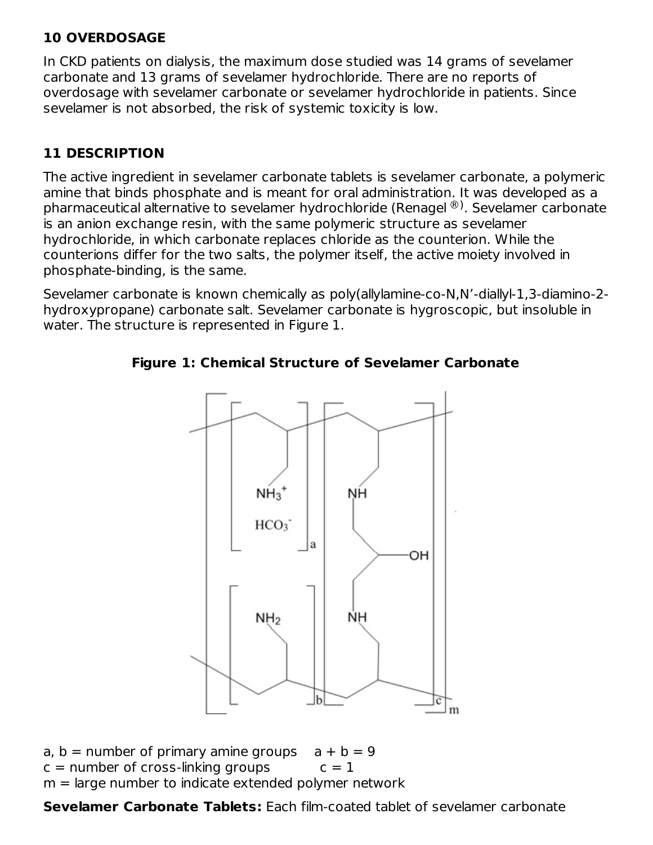## **10 OVERDOSAGE**

In CKD patients on dialysis, the maximum dose studied was 14 grams of sevelamer carbonate and 13 grams of sevelamer hydrochloride. There are no reports of overdosage with sevelamer carbonate or sevelamer hydrochloride in patients. Since sevelamer is not absorbed, the risk of systemic toxicity is low.

## **11 DESCRIPTION**

The active ingredient in sevelamer carbonate tablets is sevelamer carbonate, a polymeric amine that binds phosphate and is meant for oral administration. It was developed as a pharmaceutical alternative to sevelamer hydrochloride (Renagel ®). Sevelamer carbonate is an anion exchange resin, with the same polymeric structure as sevelamer hydrochloride, in which carbonate replaces chloride as the counterion. While the counterions differ for the two salts, the polymer itself, the active moiety involved in phosphate-binding, is the same.

Sevelamer carbonate is known chemically as poly(allylamine-co-N,N'-diallyl-1,3-diamino-2 hydroxypropane) carbonate salt. Sevelamer carbonate is hygroscopic, but insoluble in water. The structure is represented in Figure 1.



## **Figure 1: Chemical Structure of Sevelamer Carbonate**

a,  $b =$  number of primary amine groups  $a + b = 9$  $c =$  number of cross-linking groups  $c = 1$  $m =$  large number to indicate extended polymer network

**Sevelamer Carbonate Tablets:** Each film-coated tablet of sevelamer carbonate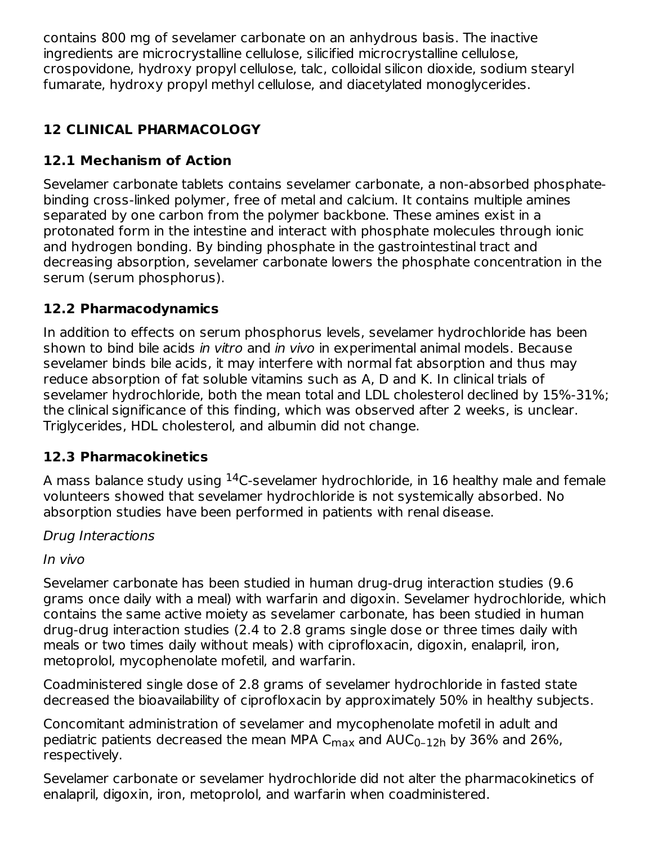contains 800 mg of sevelamer carbonate on an anhydrous basis. The inactive ingredients are microcrystalline cellulose, silicified microcrystalline cellulose, crospovidone, hydroxy propyl cellulose, talc, colloidal silicon dioxide, sodium stearyl fumarate, hydroxy propyl methyl cellulose, and diacetylated monoglycerides.

# **12 CLINICAL PHARMACOLOGY**

# **12.1 Mechanism of Action**

Sevelamer carbonate tablets contains sevelamer carbonate, a non-absorbed phosphatebinding cross-linked polymer, free of metal and calcium. It contains multiple amines separated by one carbon from the polymer backbone. These amines exist in a protonated form in the intestine and interact with phosphate molecules through ionic and hydrogen bonding. By binding phosphate in the gastrointestinal tract and decreasing absorption, sevelamer carbonate lowers the phosphate concentration in the serum (serum phosphorus).

## **12.2 Pharmacodynamics**

In addition to effects on serum phosphorus levels, sevelamer hydrochloride has been shown to bind bile acids in vitro and in vivo in experimental animal models. Because sevelamer binds bile acids, it may interfere with normal fat absorption and thus may reduce absorption of fat soluble vitamins such as A, D and K. In clinical trials of sevelamer hydrochloride, both the mean total and LDL cholesterol declined by 15%-31%; the clinical significance of this finding, which was observed after 2 weeks, is unclear. Triglycerides, HDL cholesterol, and albumin did not change.

## **12.3 Pharmacokinetics**

A mass balance study using  $^{14}$ C-sevelamer hydrochloride, in 16 healthy male and female volunteers showed that sevelamer hydrochloride is not systemically absorbed. No absorption studies have been performed in patients with renal disease.

Drug Interactions

In vivo

Sevelamer carbonate has been studied in human drug-drug interaction studies (9.6 grams once daily with a meal) with warfarin and digoxin. Sevelamer hydrochloride, which contains the same active moiety as sevelamer carbonate, has been studied in human drug-drug interaction studies (2.4 to 2.8 grams single dose or three times daily with meals or two times daily without meals) with ciprofloxacin, digoxin, enalapril, iron, metoprolol, mycophenolate mofetil, and warfarin.

Coadministered single dose of 2.8 grams of sevelamer hydrochloride in fasted state decreased the bioavailability of ciprofloxacin by approximately 50% in healthy subjects.

Concomitant administration of sevelamer and mycophenolate mofetil in adult and pediatric patients decreased the mean MPA C $_{\sf max}$  and AUC $_{\sf 0\text{-}12h}$  by 36% and 26%, respectively.

Sevelamer carbonate or sevelamer hydrochloride did not alter the pharmacokinetics of enalapril, digoxin, iron, metoprolol, and warfarin when coadministered.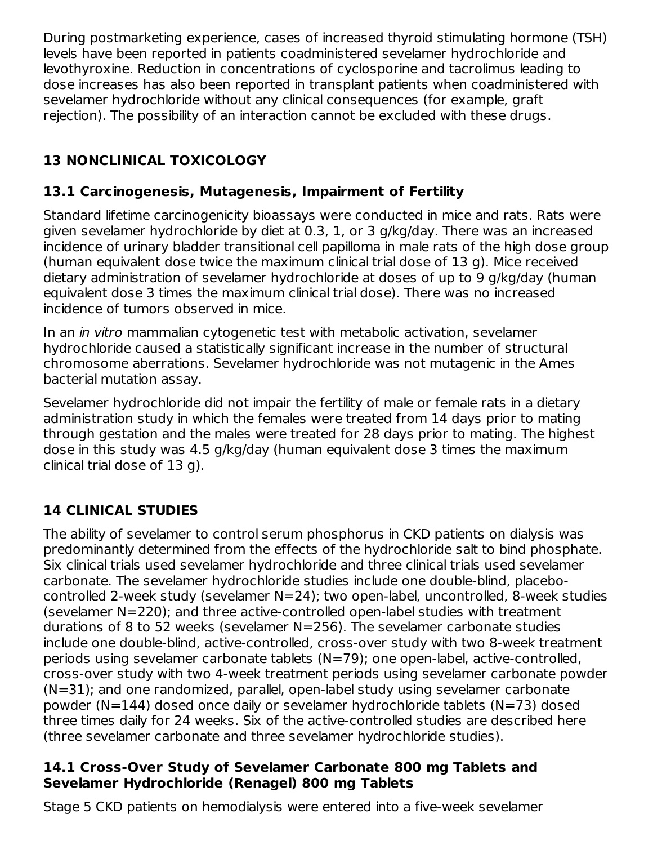During postmarketing experience, cases of increased thyroid stimulating hormone (TSH) levels have been reported in patients coadministered sevelamer hydrochloride and levothyroxine. Reduction in concentrations of cyclosporine and tacrolimus leading to dose increases has also been reported in transplant patients when coadministered with sevelamer hydrochloride without any clinical consequences (for example, graft rejection). The possibility of an interaction cannot be excluded with these drugs.

# **13 NONCLINICAL TOXICOLOGY**

## **13.1 Carcinogenesis, Mutagenesis, Impairment of Fertility**

Standard lifetime carcinogenicity bioassays were conducted in mice and rats. Rats were given sevelamer hydrochloride by diet at 0.3, 1, or 3 g/kg/day. There was an increased incidence of urinary bladder transitional cell papilloma in male rats of the high dose group (human equivalent dose twice the maximum clinical trial dose of 13 g). Mice received dietary administration of sevelamer hydrochloride at doses of up to 9 g/kg/day (human equivalent dose 3 times the maximum clinical trial dose). There was no increased incidence of tumors observed in mice.

In an in vitro mammalian cytogenetic test with metabolic activation, sevelamer hydrochloride caused a statistically significant increase in the number of structural chromosome aberrations. Sevelamer hydrochloride was not mutagenic in the Ames bacterial mutation assay.

Sevelamer hydrochloride did not impair the fertility of male or female rats in a dietary administration study in which the females were treated from 14 days prior to mating through gestation and the males were treated for 28 days prior to mating. The highest dose in this study was 4.5 g/kg/day (human equivalent dose 3 times the maximum clinical trial dose of 13 g).

# **14 CLINICAL STUDIES**

The ability of sevelamer to control serum phosphorus in CKD patients on dialysis was predominantly determined from the effects of the hydrochloride salt to bind phosphate. Six clinical trials used sevelamer hydrochloride and three clinical trials used sevelamer carbonate. The sevelamer hydrochloride studies include one double-blind, placebocontrolled 2-week study (sevelamer N=24); two open-label, uncontrolled, 8-week studies (sevelamer N=220); and three active-controlled open-label studies with treatment durations of 8 to 52 weeks (sevelamer N=256). The sevelamer carbonate studies include one double-blind, active-controlled, cross-over study with two 8-week treatment periods using sevelamer carbonate tablets (N=79); one open-label, active-controlled, cross-over study with two 4-week treatment periods using sevelamer carbonate powder (N=31); and one randomized, parallel, open-label study using sevelamer carbonate powder (N=144) dosed once daily or sevelamer hydrochloride tablets (N=73) dosed three times daily for 24 weeks. Six of the active-controlled studies are described here (three sevelamer carbonate and three sevelamer hydrochloride studies).

### **14.1 Cross-Over Study of Sevelamer Carbonate 800 mg Tablets and Sevelamer Hydrochloride (Renagel) 800 mg Tablets**

Stage 5 CKD patients on hemodialysis were entered into a five-week sevelamer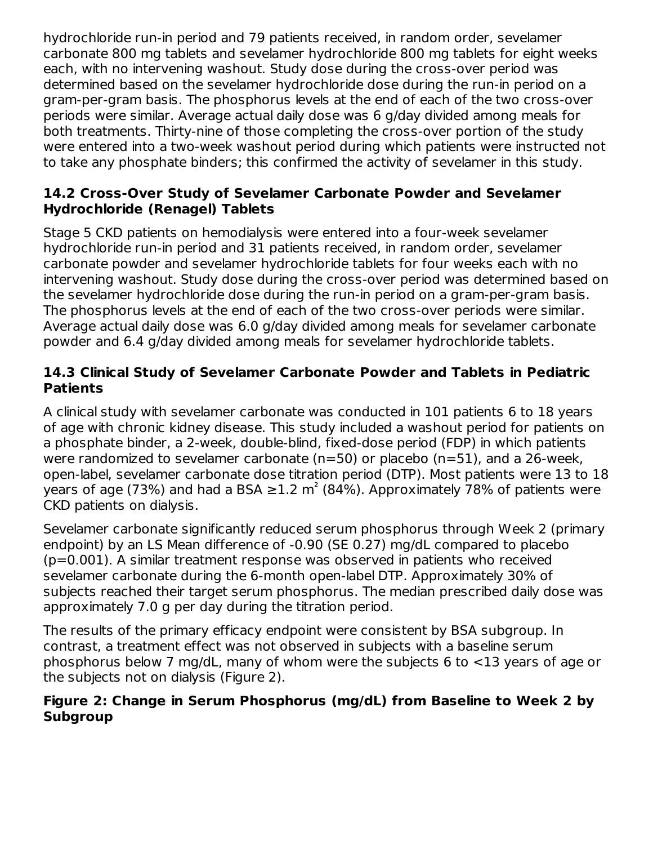hydrochloride run-in period and 79 patients received, in random order, sevelamer carbonate 800 mg tablets and sevelamer hydrochloride 800 mg tablets for eight weeks each, with no intervening washout. Study dose during the cross-over period was determined based on the sevelamer hydrochloride dose during the run-in period on a gram-per-gram basis. The phosphorus levels at the end of each of the two cross-over periods were similar. Average actual daily dose was 6 g/day divided among meals for both treatments. Thirty-nine of those completing the cross-over portion of the study were entered into a two-week washout period during which patients were instructed not to take any phosphate binders; this confirmed the activity of sevelamer in this study.

#### **14.2 Cross-Over Study of Sevelamer Carbonate Powder and Sevelamer Hydrochloride (Renagel) Tablets**

Stage 5 CKD patients on hemodialysis were entered into a four-week sevelamer hydrochloride run-in period and 31 patients received, in random order, sevelamer carbonate powder and sevelamer hydrochloride tablets for four weeks each with no intervening washout. Study dose during the cross-over period was determined based on the sevelamer hydrochloride dose during the run-in period on a gram-per-gram basis. The phosphorus levels at the end of each of the two cross-over periods were similar. Average actual daily dose was 6.0 g/day divided among meals for sevelamer carbonate powder and 6.4 g/day divided among meals for sevelamer hydrochloride tablets.

## **14.3 Clinical Study of Sevelamer Carbonate Powder and Tablets in Pediatric Patients**

A clinical study with sevelamer carbonate was conducted in 101 patients 6 to 18 years of age with chronic kidney disease. This study included a washout period for patients on a phosphate binder, a 2-week, double-blind, fixed-dose period (FDP) in which patients were randomized to sevelamer carbonate (n=50) or placebo (n=51), and a 26-week, open-label, sevelamer carbonate dose titration period (DTP). Most patients were 13 to 18 years of age (73%) and had a BSA  $\geq$ 1.2 m<sup>2</sup> (84%). Approximately 78% of patients were CKD patients on dialysis.

Sevelamer carbonate significantly reduced serum phosphorus through Week 2 (primary endpoint) by an LS Mean difference of -0.90 (SE 0.27) mg/dL compared to placebo (p=0.001). A similar treatment response was observed in patients who received sevelamer carbonate during the 6-month open-label DTP. Approximately 30% of subjects reached their target serum phosphorus. The median prescribed daily dose was approximately 7.0 g per day during the titration period.

The results of the primary efficacy endpoint were consistent by BSA subgroup. In contrast, a treatment effect was not observed in subjects with a baseline serum phosphorus below 7 mg/dL, many of whom were the subjects 6 to <13 years of age or the subjects not on dialysis (Figure 2).

#### **Figure 2: Change in Serum Phosphorus (mg/dL) from Baseline to Week 2 by Subgroup**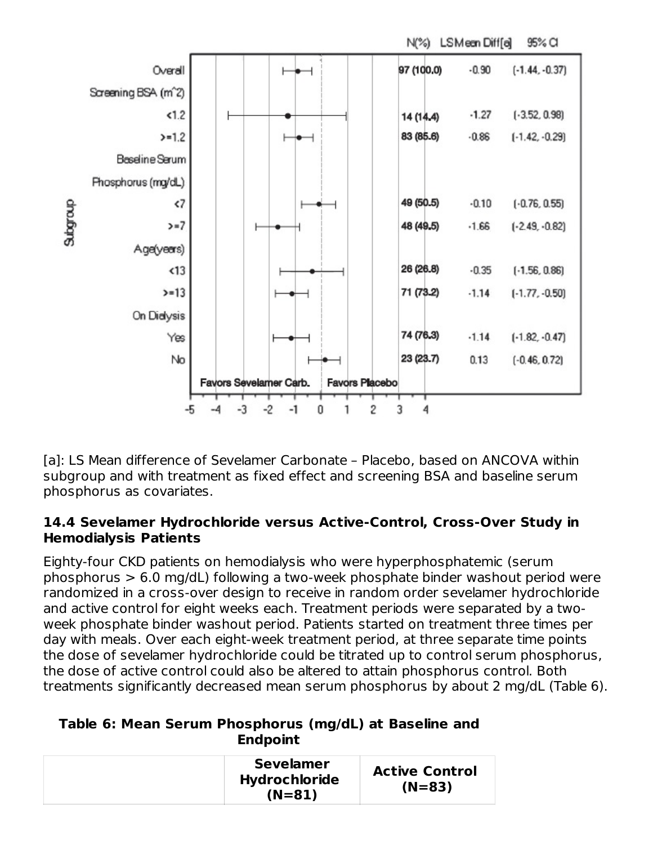

[a]: LS Mean difference of Sevelamer Carbonate - Placebo, based on ANCOVA within subgroup and with treatment as fixed effect and screening BSA and baseline serum phosphorus as covariates.

#### **14.4 Sevelamer Hydrochloride versus Active-Control, Cross-Over Study in Hemodialysis Patients**

Eighty-four CKD patients on hemodialysis who were hyperphosphatemic (serum phosphorus > 6.0 mg/dL) following a two-week phosphate binder washout period were randomized in a cross-over design to receive in random order sevelamer hydrochloride and active control for eight weeks each. Treatment periods were separated by a twoweek phosphate binder washout period. Patients started on treatment three times per day with meals. Over each eight-week treatment period, at three separate time points the dose of sevelamer hydrochloride could be titrated up to control serum phosphorus, the dose of active control could also be altered to attain phosphorus control. Both treatments significantly decreased mean serum phosphorus by about 2 mg/dL (Table 6).

## **Table 6: Mean Serum Phosphorus (mg/dL) at Baseline and Endpoint**

| <b>Sevelamer</b><br><b>Hydrochloride</b><br>$(N=81)$ | <b>Active Control</b><br>$(N=83)$ |
|------------------------------------------------------|-----------------------------------|
|------------------------------------------------------|-----------------------------------|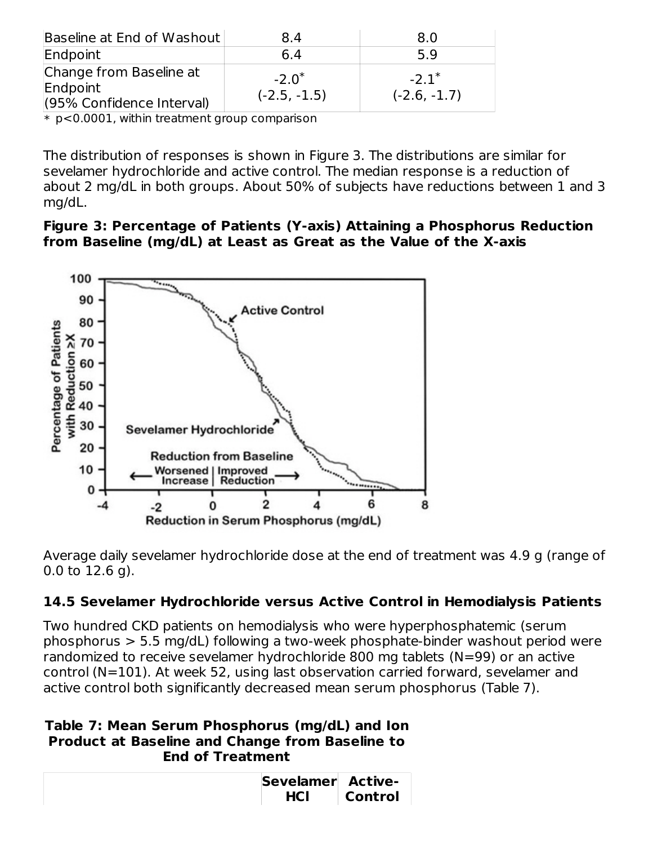| Baseline at End of Washout                                       | 8.4                        | 8.0                                   |
|------------------------------------------------------------------|----------------------------|---------------------------------------|
| Endpoint                                                         | 6.4                        | 5.9                                   |
| Change from Baseline at<br>Endpoint<br>(95% Confidence Interval) | $-2.0^*$<br>$(-2.5, -1.5)$ | $-2.1$ <sup>*</sup><br>$(-2.6, -1.7)$ |

\* p<0.0001, within treatment group comparison

The distribution of responses is shown in Figure 3. The distributions are similar for sevelamer hydrochloride and active control. The median response is a reduction of about 2 mg/dL in both groups. About 50% of subjects have reductions between 1 and 3 mg/dL.

#### **Figure 3: Percentage of Patients (Y-axis) Attaining a Phosphorus Reduction from Baseline (mg/dL) at Least as Great as the Value of the X-axis**



Average daily sevelamer hydrochloride dose at the end of treatment was 4.9 g (range of 0.0 to 12.6 g).

## **14.5 Sevelamer Hydrochloride versus Active Control in Hemodialysis Patients**

Two hundred CKD patients on hemodialysis who were hyperphosphatemic (serum phosphorus > 5.5 mg/dL) following a two-week phosphate-binder washout period were randomized to receive sevelamer hydrochloride 800 mg tablets (N=99) or an active control (N=101). At week 52, using last observation carried forward, sevelamer and active control both significantly decreased mean serum phosphorus (Table 7).

#### **Table 7: Mean Serum Phosphorus (mg/dL) and Ion Product at Baseline and Change from Baseline to End of Treatment**

| Sevelamer Active- |                |
|-------------------|----------------|
| <b>HCI</b>        | <b>Control</b> |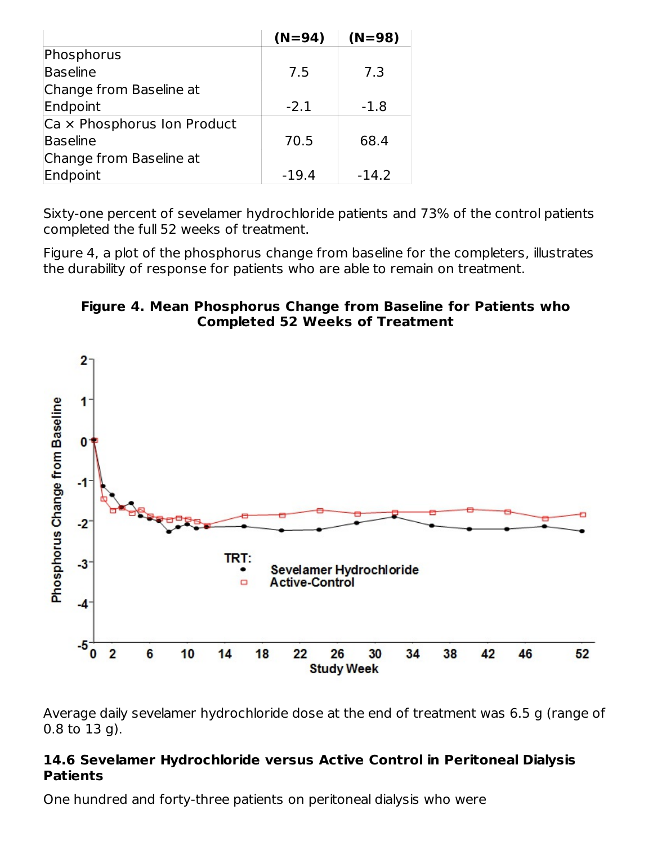|                             | $(N=94)$ | $(N=98)$ |
|-----------------------------|----------|----------|
| Phosphorus                  |          |          |
| Baseline                    | 7.5      | 7.3      |
| Change from Baseline at     |          |          |
| Endpoint                    | $-2.1$   | $-1.8$   |
| Ca x Phosphorus Ion Product |          |          |
| Baseline                    | 70.5     | 68.4     |
| Change from Baseline at     |          |          |
| Endpoint                    | $-19.4$  | $-14.2$  |

Sixty-one percent of sevelamer hydrochloride patients and 73% of the control patients completed the full 52 weeks of treatment.

Figure 4, a plot of the phosphorus change from baseline for the completers, illustrates the durability of response for patients who are able to remain on treatment.

#### **Figure 4. Mean Phosphorus Change from Baseline for Patients who Completed 52 Weeks of Treatment**



Average daily sevelamer hydrochloride dose at the end of treatment was 6.5 g (range of 0.8 to 13 g).

#### **14.6 Sevelamer Hydrochloride versus Active Control in Peritoneal Dialysis Patients**

One hundred and forty-three patients on peritoneal dialysis who were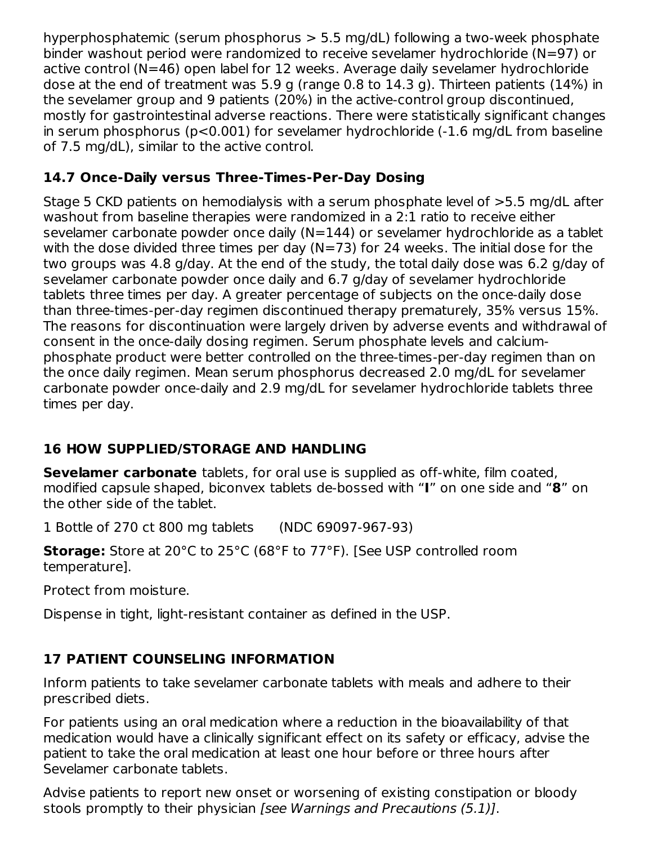hyperphosphatemic (serum phosphorus > 5.5 mg/dL) following a two-week phosphate binder washout period were randomized to receive sevelamer hydrochloride (N=97) or active control (N=46) open label for 12 weeks. Average daily sevelamer hydrochloride dose at the end of treatment was 5.9 g (range 0.8 to 14.3 g). Thirteen patients (14%) in the sevelamer group and 9 patients (20%) in the active-control group discontinued, mostly for gastrointestinal adverse reactions. There were statistically significant changes in serum phosphorus (p<0.001) for sevelamer hydrochloride (-1.6 mg/dL from baseline of 7.5 mg/dL), similar to the active control.

## **14.7 Once-Daily versus Three-Times-Per-Day Dosing**

Stage 5 CKD patients on hemodialysis with a serum phosphate level of >5.5 mg/dL after washout from baseline therapies were randomized in a 2:1 ratio to receive either sevelamer carbonate powder once daily (N=144) or sevelamer hydrochloride as a tablet with the dose divided three times per day  $(N=73)$  for 24 weeks. The initial dose for the two groups was 4.8 g/day. At the end of the study, the total daily dose was 6.2 g/day of sevelamer carbonate powder once daily and 6.7 g/day of sevelamer hydrochloride tablets three times per day. A greater percentage of subjects on the once-daily dose than three-times-per-day regimen discontinued therapy prematurely, 35% versus 15%. The reasons for discontinuation were largely driven by adverse events and withdrawal of consent in the once-daily dosing regimen. Serum phosphate levels and calciumphosphate product were better controlled on the three-times-per-day regimen than on the once daily regimen. Mean serum phosphorus decreased 2.0 mg/dL for sevelamer carbonate powder once-daily and 2.9 mg/dL for sevelamer hydrochloride tablets three times per day.

# **16 HOW SUPPLIED/STORAGE AND HANDLING**

**Sevelamer carbonate** tablets, for oral use is supplied as off-white, film coated, modified capsule shaped, biconvex tablets de-bossed with "**I**" on one side and "**8**" on the other side of the tablet.

1 Bottle of 270 ct 800 mg tablets (NDC 69097-967-93)

**Storage:** Store at 20°C to 25°C (68°F to 77°F). [See USP controlled room temperature].

Protect from moisture.

Dispense in tight, light-resistant container as defined in the USP.

# **17 PATIENT COUNSELING INFORMATION**

Inform patients to take sevelamer carbonate tablets with meals and adhere to their prescribed diets.

For patients using an oral medication where a reduction in the bioavailability of that medication would have a clinically significant effect on its safety or efficacy, advise the patient to take the oral medication at least one hour before or three hours after Sevelamer carbonate tablets.

Advise patients to report new onset or worsening of existing constipation or bloody stools promptly to their physician [see Warnings and Precautions (5.1)].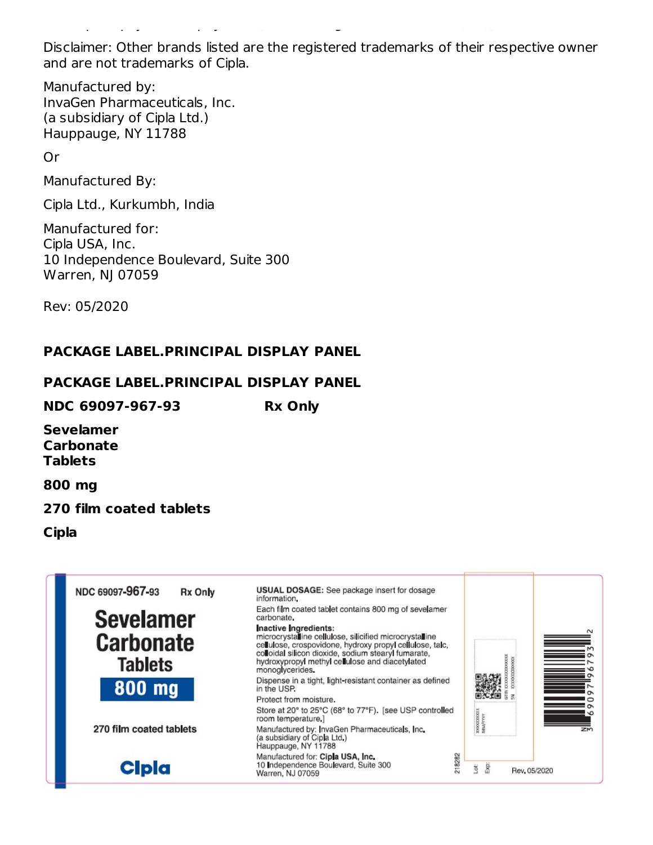Disclaimer: Other brands listed are the registered trademarks of their respective owner and are not trademarks of Cipla.

stools promptly to their physician [see Warnings and Precautions (5.1)].

Manufactured by: InvaGen Pharmaceuticals, Inc. (a subsidiary of Cipla Ltd.) Hauppauge, NY 11788

Or

Manufactured By:

Cipla Ltd., Kurkumbh, India

Manufactured for: Cipla USA, Inc. 10 Independence Boulevard, Suite 300 Warren, NJ 07059

Rev: 05/2020

### **PACKAGE LABEL.PRINCIPAL DISPLAY PANEL**

#### **PACKAGE LABEL.PRINCIPAL DISPLAY PANEL**

**NDC 69097-967-93 Rx Only**

**Sevelamer Carbonate Tablets**

**800 mg**

#### **270 film coated tablets**

**Cipla**

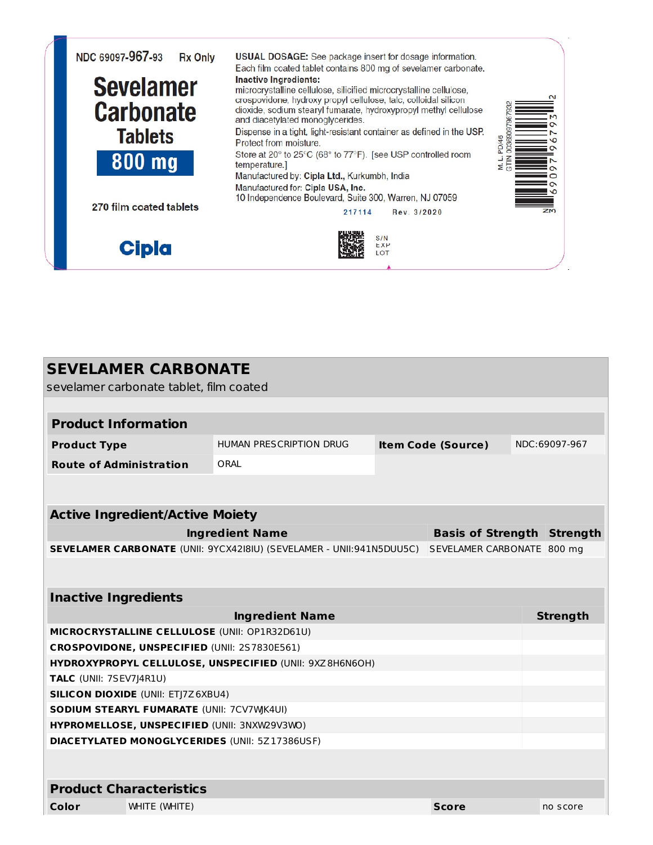

| <b>SEVELAMER CARBONATE</b><br>sevelamer carbonate tablet, film coated |                                                                              |  |                                   |  |                 |  |
|-----------------------------------------------------------------------|------------------------------------------------------------------------------|--|-----------------------------------|--|-----------------|--|
|                                                                       |                                                                              |  |                                   |  |                 |  |
| <b>Product Information</b>                                            |                                                                              |  |                                   |  |                 |  |
| <b>Product Type</b>                                                   | NDC:69097-967<br><b>HUMAN PRESCRIPTION DRUG</b><br><b>Item Code (Source)</b> |  |                                   |  |                 |  |
| <b>Route of Administration</b>                                        | ORAL                                                                         |  |                                   |  |                 |  |
|                                                                       |                                                                              |  |                                   |  |                 |  |
| <b>Active Ingredient/Active Moiety</b>                                |                                                                              |  |                                   |  |                 |  |
|                                                                       | <b>Ingredient Name</b>                                                       |  | <b>Basis of Strength Strength</b> |  |                 |  |
|                                                                       | SEVELAMER CARBONATE (UNII: 9YCX42I8IU) (SEVELAMER - UNII:941N5DUU5C)         |  | SEVELAMER CARBONATE 800 mg        |  |                 |  |
|                                                                       |                                                                              |  |                                   |  |                 |  |
| <b>Inactive Ingredients</b>                                           |                                                                              |  |                                   |  |                 |  |
|                                                                       | <b>Ingredient Name</b>                                                       |  |                                   |  | <b>Strength</b> |  |
| MICROCRYSTALLINE CELLULOSE (UNII: OP1R32D61U)                         |                                                                              |  |                                   |  |                 |  |
| CROSPOVIDONE, UNSPECIFIED (UNII: 2S7830E561)                          |                                                                              |  |                                   |  |                 |  |
|                                                                       | HYDROXYPROPYL CELLULOSE, UNSPECIFIED (UNII: 9XZ8H6N6OH)                      |  |                                   |  |                 |  |
| <b>TALC</b> (UNII: 7SEV7J4R1U)                                        |                                                                              |  |                                   |  |                 |  |
| <b>SILICON DIOXIDE (UNII: ETJ7Z6XBU4)</b>                             |                                                                              |  |                                   |  |                 |  |
| <b>SODIUM STEARYL FUMARATE (UNII: 7CV7WK4UI)</b>                      |                                                                              |  |                                   |  |                 |  |
| HYPROMELLOSE, UNSPECIFIED (UNII: 3NXW29V3WO)                          |                                                                              |  |                                   |  |                 |  |
| <b>DIACETYLATED MONOGLYCERIDES (UNII: 5Z17386USF)</b>                 |                                                                              |  |                                   |  |                 |  |
|                                                                       |                                                                              |  |                                   |  |                 |  |
| <b>Product Characteristics</b>                                        |                                                                              |  |                                   |  |                 |  |
| WHITE (WHITE)<br>Color<br><b>Score</b><br>no score                    |                                                                              |  |                                   |  |                 |  |